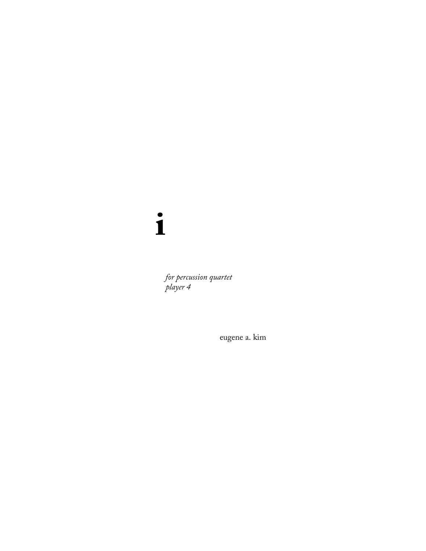$\mathbf{i}$ 

for percussion quartet<br>player 4

eugene a. kim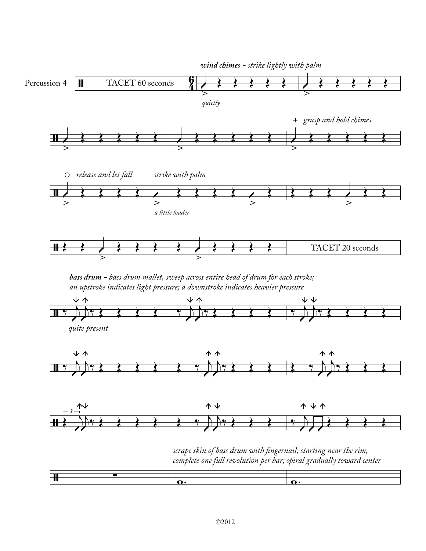

*bass drum - bass drum mallet, sweep across entire head of drum for each stroke; an upstroke indicates light pressure; a downstroke indicates heavier pressure*





*scrape skin of bass drum with ngernail; starting near the rim, complete one full revolution per bar; spiral gradually toward center*